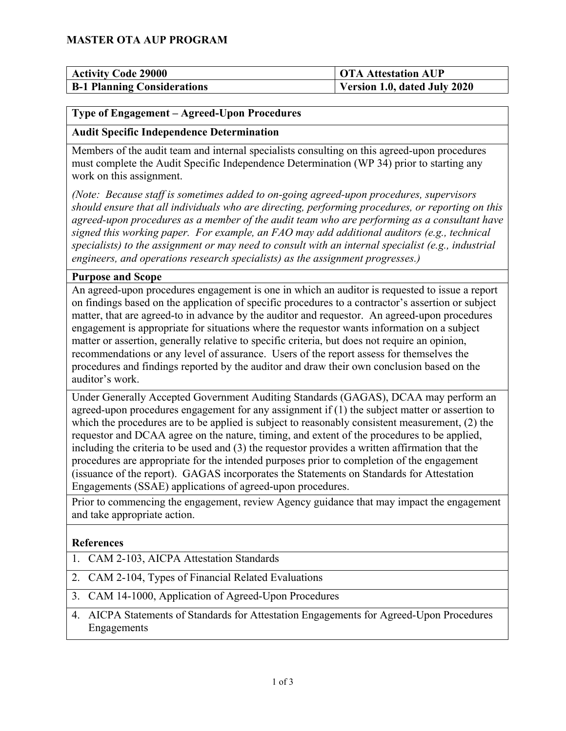## **MASTER OTA AUP PROGRAM**

| <b>Activity Code 29000</b>         | <b>OTA Attestation AUP</b>   |
|------------------------------------|------------------------------|
| <b>B-1 Planning Considerations</b> | Version 1.0, dated July 2020 |

### **Type of Engagement – Agreed-Upon Procedures**

#### **Audit Specific Independence Determination**

Members of the audit team and internal specialists consulting on this agreed-upon procedures must complete the Audit Specific Independence Determination (WP 34) prior to starting any work on this assignment.

*(Note: Because staff is sometimes added to on-going agreed-upon procedures, supervisors should ensure that all individuals who are directing, performing procedures, or reporting on this agreed-upon procedures as a member of the audit team who are performing as a consultant have signed this working paper. For example, an FAO may add additional auditors (e.g., technical specialists) to the assignment or may need to consult with an internal specialist (e.g., industrial engineers, and operations research specialists) as the assignment progresses.)*

### **Purpose and Scope**

An agreed-upon procedures engagement is one in which an auditor is requested to issue a report on findings based on the application of specific procedures to a contractor's assertion or subject matter, that are agreed-to in advance by the auditor and requestor. An agreed-upon procedures engagement is appropriate for situations where the requestor wants information on a subject matter or assertion, generally relative to specific criteria, but does not require an opinion, recommendations or any level of assurance. Users of the report assess for themselves the procedures and findings reported by the auditor and draw their own conclusion based on the auditor's work.

Under Generally Accepted Government Auditing Standards (GAGAS), DCAA may perform an agreed-upon procedures engagement for any assignment if (1) the subject matter or assertion to which the procedures are to be applied is subject to reasonably consistent measurement, (2) the requestor and DCAA agree on the nature, timing, and extent of the procedures to be applied, including the criteria to be used and (3) the requestor provides a written affirmation that the procedures are appropriate for the intended purposes prior to completion of the engagement (issuance of the report). GAGAS incorporates the Statements on Standards for Attestation Engagements (SSAE) applications of agreed-upon procedures.

Prior to commencing the engagement, review Agency guidance that may impact the engagement and take appropriate action.

#### **References**

- 1. CAM 2-103, AICPA Attestation Standards
- 2. CAM 2-104, Types of Financial Related Evaluations
- 3. CAM 14-1000, Application of Agreed-Upon Procedures
- 4. AICPA Statements of Standards for Attestation Engagements for Agreed-Upon Procedures Engagements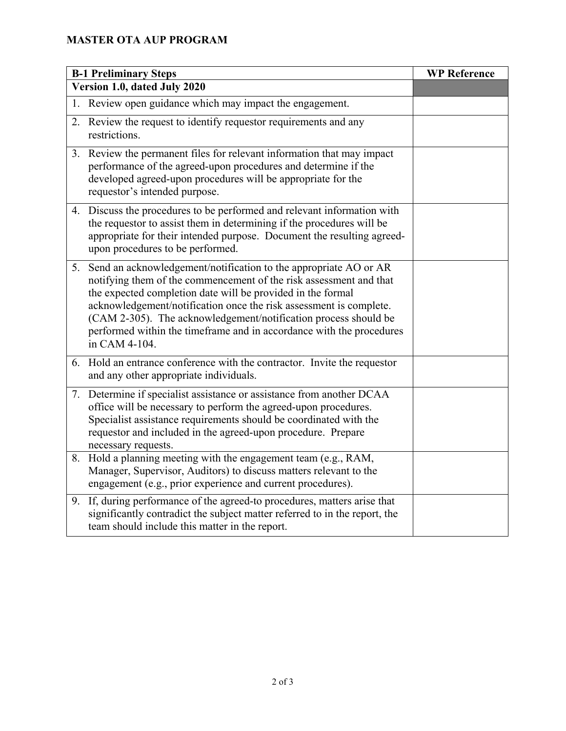# **MASTER OTA AUP PROGRAM**

| <b>B-1 Preliminary Steps</b> |                                                                                                                                                                                                                                                                                                                                                                                                                                         | <b>WP Reference</b> |
|------------------------------|-----------------------------------------------------------------------------------------------------------------------------------------------------------------------------------------------------------------------------------------------------------------------------------------------------------------------------------------------------------------------------------------------------------------------------------------|---------------------|
| Version 1.0, dated July 2020 |                                                                                                                                                                                                                                                                                                                                                                                                                                         |                     |
| 1.                           | Review open guidance which may impact the engagement.                                                                                                                                                                                                                                                                                                                                                                                   |                     |
| 2.                           | Review the request to identify requestor requirements and any<br>restrictions.                                                                                                                                                                                                                                                                                                                                                          |                     |
|                              | 3. Review the permanent files for relevant information that may impact<br>performance of the agreed-upon procedures and determine if the<br>developed agreed-upon procedures will be appropriate for the<br>requestor's intended purpose.                                                                                                                                                                                               |                     |
|                              | 4. Discuss the procedures to be performed and relevant information with<br>the requestor to assist them in determining if the procedures will be<br>appropriate for their intended purpose. Document the resulting agreed-<br>upon procedures to be performed.                                                                                                                                                                          |                     |
| 5.                           | Send an acknowledgement/notification to the appropriate AO or AR<br>notifying them of the commencement of the risk assessment and that<br>the expected completion date will be provided in the formal<br>acknowledgement/notification once the risk assessment is complete.<br>(CAM 2-305). The acknowledgement/notification process should be<br>performed within the timeframe and in accordance with the procedures<br>in CAM 4-104. |                     |
| 6.                           | Hold an entrance conference with the contractor. Invite the requestor<br>and any other appropriate individuals.                                                                                                                                                                                                                                                                                                                         |                     |
|                              | 7. Determine if specialist assistance or assistance from another DCAA<br>office will be necessary to perform the agreed-upon procedures.<br>Specialist assistance requirements should be coordinated with the<br>requestor and included in the agreed-upon procedure. Prepare<br>necessary requests.                                                                                                                                    |                     |
| 8.                           | Hold a planning meeting with the engagement team (e.g., RAM,<br>Manager, Supervisor, Auditors) to discuss matters relevant to the<br>engagement (e.g., prior experience and current procedures).                                                                                                                                                                                                                                        |                     |
| 9.                           | If, during performance of the agreed-to procedures, matters arise that<br>significantly contradict the subject matter referred to in the report, the<br>team should include this matter in the report.                                                                                                                                                                                                                                  |                     |